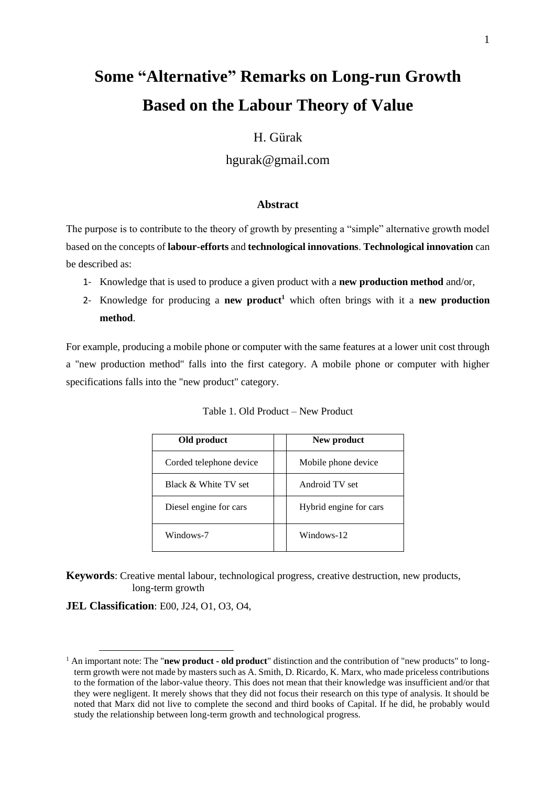# **Some "Alternative" Remarks on Long-run Growth Based on the Labour Theory of Value**

# H. Gürak

hgurak@gmail.com

## **Abstract**

The purpose is to contribute to the theory of growth by presenting a "simple" alternative growth model based on the concepts of **labour-efforts** and **technological innovations**. **Technological innovation** can be described as:

- 1- Knowledge that is used to produce a given product with a **new production method** and/or,
- 2- Knowledge for producing a **new product<sup>1</sup>** which often brings with it a **new production method**.

For example, producing a mobile phone or computer with the same features at a lower unit cost through a "new production method" falls into the first category. A mobile phone or computer with higher specifications falls into the "new product" category.

| Old product             | New product            |
|-------------------------|------------------------|
| Corded telephone device | Mobile phone device    |
| Black & White TV set    | Android TV set         |
| Diesel engine for cars  | Hybrid engine for cars |
| Windows-7               | Windows-12             |

Table 1. Old Product – New Product

**Keywords**: Creative mental labour, technological progress, creative destruction, new products, long-term growth

**JEL Classification**: E00, J24, O1, O3, O4,

<sup>&</sup>lt;sup>1</sup> An important note: The "**new product - old product**" distinction and the contribution of "new products" to longterm growth were not made by masters such as A. Smith, D. Ricardo, K. Marx, who made priceless contributions to the formation of the labor-value theory. This does not mean that their knowledge was insufficient and/or that they were negligent. It merely shows that they did not focus their research on this type of analysis. It should be noted that Marx did not live to complete the second and third books of Capital. If he did, he probably would study the relationship between long-term growth and technological progress.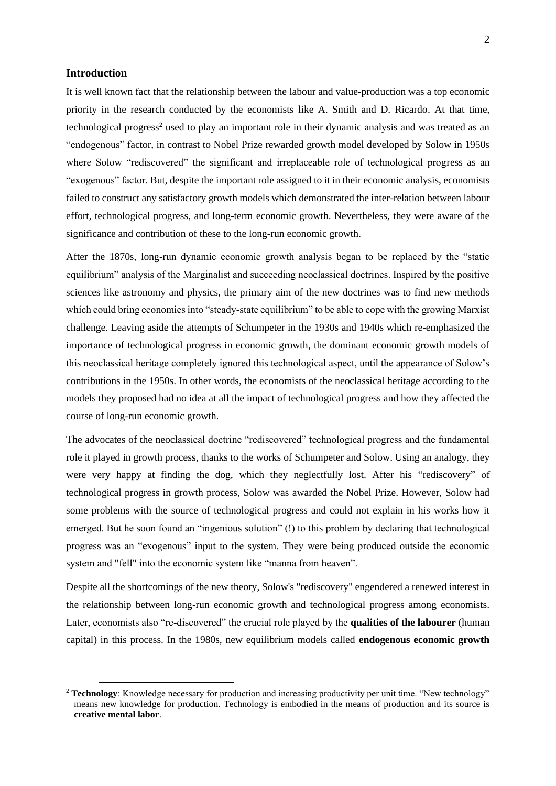#### **Introduction**

It is well known fact that the relationship between the labour and value-production was a top economic priority in the research conducted by the economists like A. Smith and D. Ricardo. At that time, technological progress<sup>2</sup> used to play an important role in their dynamic analysis and was treated as an "endogenous" factor, in contrast to Nobel Prize rewarded growth model developed by Solow in 1950s where Solow "rediscovered" the significant and irreplaceable role of technological progress as an "exogenous" factor. But, despite the important role assigned to it in their economic analysis, economists failed to construct any satisfactory growth models which demonstrated the inter-relation between labour effort, technological progress, and long-term economic growth. Nevertheless, they were aware of the significance and contribution of these to the long-run economic growth.

After the 1870s, long-run dynamic economic growth analysis began to be replaced by the "static equilibrium" analysis of the Marginalist and succeeding neoclassical doctrines. Inspired by the positive sciences like astronomy and physics, the primary aim of the new doctrines was to find new methods which could bring economies into "steady-state equilibrium" to be able to cope with the growing Marxist challenge. Leaving aside the attempts of Schumpeter in the 1930s and 1940s which re-emphasized the importance of technological progress in economic growth, the dominant economic growth models of this neoclassical heritage completely ignored this technological aspect, until the appearance of Solow's contributions in the 1950s. In other words, the economists of the neoclassical heritage according to the models they proposed had no idea at all the impact of technological progress and how they affected the course of long-run economic growth.

The advocates of the neoclassical doctrine "rediscovered" technological progress and the fundamental role it played in growth process, thanks to the works of Schumpeter and Solow. Using an analogy, they were very happy at finding the dog, which they neglectfully lost. After his "rediscovery" of technological progress in growth process, Solow was awarded the Nobel Prize. However, Solow had some problems with the source of technological progress and could not explain in his works how it emerged. But he soon found an "ingenious solution" (!) to this problem by declaring that technological progress was an "exogenous" input to the system. They were being produced outside the economic system and "fell" into the economic system like "manna from heaven".

Despite all the shortcomings of the new theory, Solow's "rediscovery" engendered a renewed interest in the relationship between long-run economic growth and technological progress among economists. Later, economists also "re-discovered" the crucial role played by the **qualities of the labourer** (human capital) in this process. In the 1980s, new equilibrium models called **endogenous economic growth** 

<sup>&</sup>lt;sup>2</sup> Technology: Knowledge necessary for production and increasing productivity per unit time. "New technology" means new knowledge for production. Technology is embodied in the means of production and its source is **creative mental labor**.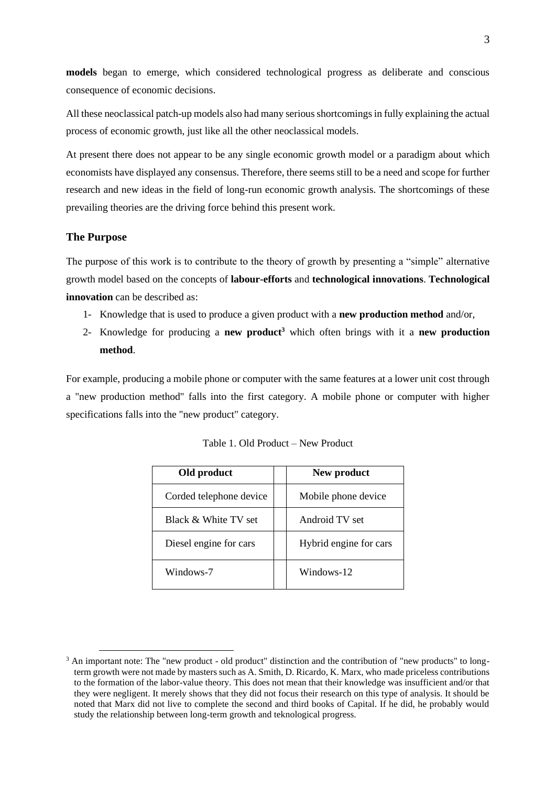**models** began to emerge, which considered technological progress as deliberate and conscious consequence of economic decisions.

All these neoclassical patch-up models also had many serious shortcomings in fully explaining the actual process of economic growth, just like all the other neoclassical models.

At present there does not appear to be any single economic growth model or a paradigm about which economists have displayed any consensus. Therefore, there seems still to be a need and scope for further research and new ideas in the field of long-run economic growth analysis. The shortcomings of these prevailing theories are the driving force behind this present work.

#### **The Purpose**

The purpose of this work is to contribute to the theory of growth by presenting a "simple" alternative growth model based on the concepts of **labour-efforts** and **technological innovations**. **Technological innovation** can be described as:

- 1- Knowledge that is used to produce a given product with a **new production method** and/or,
- 2- Knowledge for producing a **new product<sup>3</sup>** which often brings with it a **new production method**.

For example, producing a mobile phone or computer with the same features at a lower unit cost through a "new production method" falls into the first category. A mobile phone or computer with higher specifications falls into the "new product" category.

| Old product             | New product            |
|-------------------------|------------------------|
| Corded telephone device | Mobile phone device    |
| Black & White TV set    | Android TV set         |
| Diesel engine for cars  | Hybrid engine for cars |
| Windows-7               | Windows-12             |

Table 1. Old Product – New Product

<sup>&</sup>lt;sup>3</sup> An important note: The "new product - old product" distinction and the contribution of "new products" to longterm growth were not made by masters such as A. Smith, D. Ricardo, K. Marx, who made priceless contributions to the formation of the labor-value theory. This does not mean that their knowledge was insufficient and/or that they were negligent. It merely shows that they did not focus their research on this type of analysis. It should be noted that Marx did not live to complete the second and third books of Capital. If he did, he probably would study the relationship between long-term growth and teknological progress.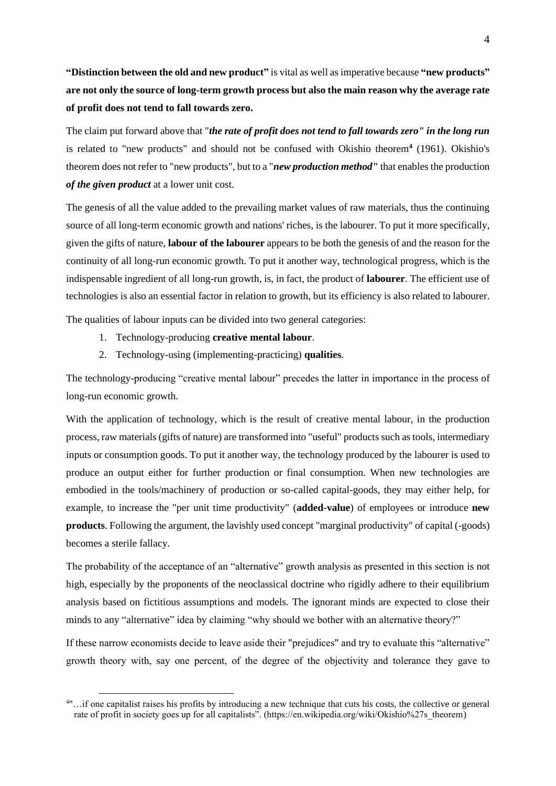**"Distinction between the old and new product"** is vital as well as imperative because **"new products" are not only the source of long-term growth process but also the main reason why the average rate of profit does not tend to fall towards zero.**

The claim put forward above that "*the rate of profit does not tend to fall towards zero" in the long run* is related to "new products" and should not be confused with Okishio theorem**<sup>4</sup>** (1961). Okishio's theorem does not refer to "new products", but to a "*new production method"* that enables the production *of the given product* at a lower unit cost.

The genesis of all the value added to the prevailing market values of raw materials, thus the continuing source of all long-term economic growth and nations' riches, is the labourer. To put it more specifically, given the gifts of nature, **labour of the labourer** appears to be both the genesis of and the reason for the continuity of all long-run economic growth. To put it another way, technological progress, which is the indispensable ingredient of all long-run growth, is, in fact, the product of **labourer**. The efficient use of technologies is also an essential factor in relation to growth, but its efficiency is also related to labourer.

The qualities of labour inputs can be divided into two general categories:

- 1. Technology-producing **creative mental labour**.
- 2. Technology-using (implementing-practicing) **qualities**.

The technology-producing "creative mental labour" precedes the latter in importance in the process of long-run economic growth.

With the application of technology, which is the result of creative mental labour, in the production process, raw materials (gifts of nature) are transformed into "useful" products such as tools, intermediary inputs or consumption goods. To put it another way, the technology produced by the labourer is used to produce an output either for further production or final consumption. When new technologies are embodied in the tools/machinery of production or so-called capital-goods, they may either help, for example, to increase the "per unit time productivity" (**added-value**) of employees or introduce **new products**. Following the argument, the lavishly used concept "marginal productivity" of capital (-goods) becomes a sterile fallacy.

The probability of the acceptance of an "alternative" growth analysis as presented in this section is not high, especially by the proponents of the neoclassical doctrine who rigidly adhere to their equilibrium analysis based on fictitious assumptions and models. The ignorant minds are expected to close their minds to any "alternative" idea by claiming "why should we bother with an alternative theory?"

If these narrow economists decide to leave aside their "prejudices" and try to evaluate this "alternative" growth theory with, say one percent, of the degree of the objectivity and tolerance they gave to

<sup>4</sup> "…if one capitalist raises his profits by introducing a new technique that cuts his costs, the collective or general rate of profit in society goes up for all capitalists". (https://en.wikipedia.org/wiki/Okishio%27s\_theorem)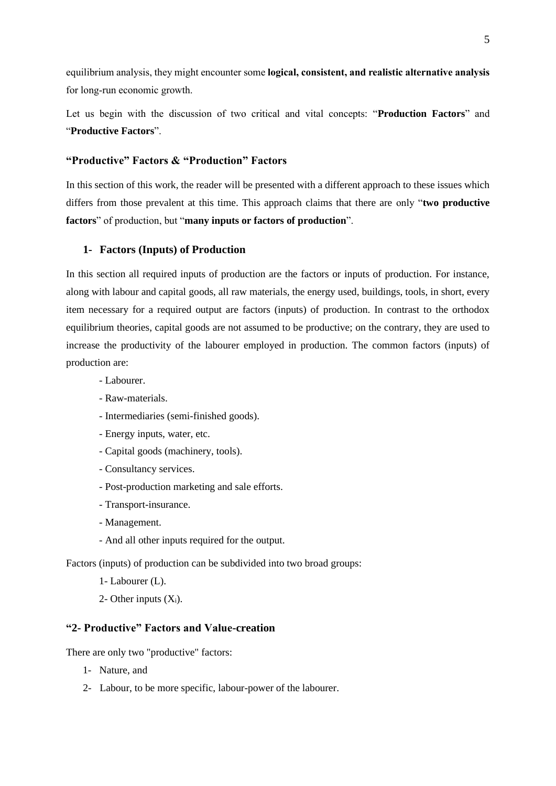equilibrium analysis, they might encounter some **logical, consistent, and realistic alternative analysis** for long-run economic growth.

Let us begin with the discussion of two critical and vital concepts: "**Production Factors**" and "**Productive Factors**".

## **"Productive" Factors & "Production" Factors**

In this section of this work, the reader will be presented with a different approach to these issues which differs from those prevalent at this time. This approach claims that there are only "**two productive factors**" of production, but "**many inputs or factors of production**".

## **1- Factors (Inputs) of Production**

In this section all required inputs of production are the factors or inputs of production. For instance, along with labour and capital goods, all raw materials, the energy used, buildings, tools, in short, every item necessary for a required output are factors (inputs) of production. In contrast to the orthodox equilibrium theories, capital goods are not assumed to be productive; on the contrary, they are used to increase the productivity of the labourer employed in production. The common factors (inputs) of production are:

- Labourer.
- Raw-materials.
- Intermediaries (semi-finished goods).
- Energy inputs, water, etc.
- Capital goods (machinery, tools).
- Consultancy services.
- Post-production marketing and sale efforts.
- Transport-insurance.
- Management.
- And all other inputs required for the output.

Factors (inputs) of production can be subdivided into two broad groups:

- 1- Labourer (L).
- 2- Other inputs  $(X_i)$ .

## **"2- Productive" Factors and Value-creation**

There are only two "productive" factors:

- 1- Nature, and
- 2- Labour, to be more specific, labour-power of the labourer.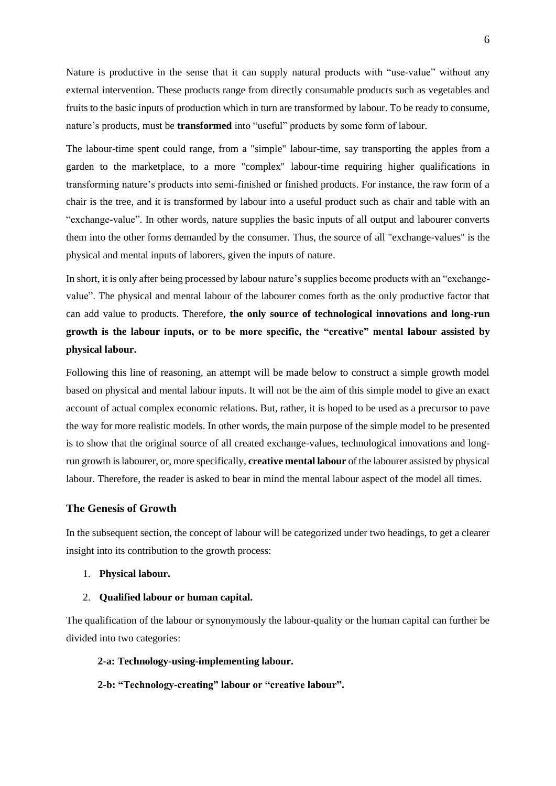Nature is productive in the sense that it can supply natural products with "use-value" without any external intervention. These products range from directly consumable products such as vegetables and fruits to the basic inputs of production which in turn are transformed by labour. To be ready to consume, nature's products, must be **transformed** into "useful" products by some form of labour.

The labour-time spent could range, from a "simple" labour-time, say transporting the apples from a garden to the marketplace, to a more "complex" labour-time requiring higher qualifications in transforming nature's products into semi-finished or finished products. For instance, the raw form of a chair is the tree, and it is transformed by labour into a useful product such as chair and table with an "exchange-value". In other words, nature supplies the basic inputs of all output and labourer converts them into the other forms demanded by the consumer. Thus, the source of all "exchange-values" is the physical and mental inputs of laborers, given the inputs of nature.

In short, it is only after being processed by labour nature's supplies become products with an "exchangevalue". The physical and mental labour of the labourer comes forth as the only productive factor that can add value to products. Therefore, **the only source of technological innovations and long-run growth is the labour inputs, or to be more specific, the "creative" mental labour assisted by physical labour.**

Following this line of reasoning, an attempt will be made below to construct a simple growth model based on physical and mental labour inputs. It will not be the aim of this simple model to give an exact account of actual complex economic relations. But, rather, it is hoped to be used as a precursor to pave the way for more realistic models. In other words, the main purpose of the simple model to be presented is to show that the original source of all created exchange-values, technological innovations and longrun growth is labourer, or, more specifically, **creative mental labour** of the labourer assisted by physical labour. Therefore, the reader is asked to bear in mind the mental labour aspect of the model all times.

## **The Genesis of Growth**

In the subsequent section, the concept of labour will be categorized under two headings, to get a clearer insight into its contribution to the growth process:

#### 1. **Physical labour.**

#### 2. **Qualified labour or human capital.**

The qualification of the labour or synonymously the labour-quality or the human capital can further be divided into two categories:

**2-a: Technology-using-implementing labour.**

**2-b: "Technology-creating" labour or "creative labour".**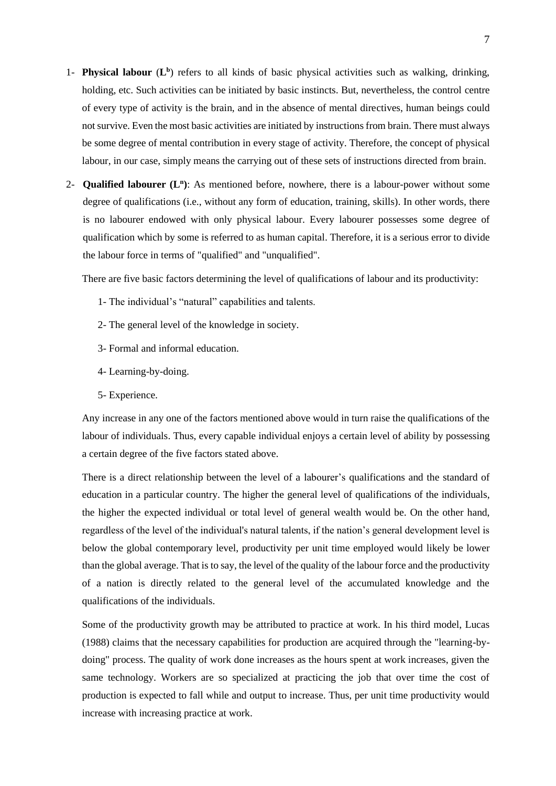- 1- **Physical labour** (**L b** ) refers to all kinds of basic physical activities such as walking, drinking, holding, etc. Such activities can be initiated by basic instincts. But, nevertheless, the control centre of every type of activity is the brain, and in the absence of mental directives, human beings could not survive. Even the most basic activities are initiated by instructions from brain. There must always be some degree of mental contribution in every stage of activity. Therefore, the concept of physical labour, in our case, simply means the carrying out of these sets of instructions directed from brain.
- 2- **Qualified labourer (L<sup>n</sup> )**: As mentioned before, nowhere, there is a labour-power without some degree of qualifications (i.e., without any form of education, training, skills). In other words, there is no labourer endowed with only physical labour. Every labourer possesses some degree of qualification which by some is referred to as human capital. Therefore, it is a serious error to divide the labour force in terms of "qualified" and "unqualified".

There are five basic factors determining the level of qualifications of labour and its productivity:

- 1- The individual's "natural" capabilities and talents.
- 2- The general level of the knowledge in society.
- 3- Formal and informal education.
- 4- Learning-by-doing.
- 5- Experience.

Any increase in any one of the factors mentioned above would in turn raise the qualifications of the labour of individuals. Thus, every capable individual enjoys a certain level of ability by possessing a certain degree of the five factors stated above.

There is a direct relationship between the level of a labourer's qualifications and the standard of education in a particular country. The higher the general level of qualifications of the individuals, the higher the expected individual or total level of general wealth would be. On the other hand, regardless of the level of the individual's natural talents, if the nation's general development level is below the global contemporary level, productivity per unit time employed would likely be lower than the global average. That is to say, the level of the quality of the labour force and the productivity of a nation is directly related to the general level of the accumulated knowledge and the qualifications of the individuals.

Some of the productivity growth may be attributed to practice at work. In his third model, Lucas (1988) claims that the necessary capabilities for production are acquired through the "learning-bydoing" process. The quality of work done increases as the hours spent at work increases, given the same technology. Workers are so specialized at practicing the job that over time the cost of production is expected to fall while and output to increase. Thus, per unit time productivity would increase with increasing practice at work.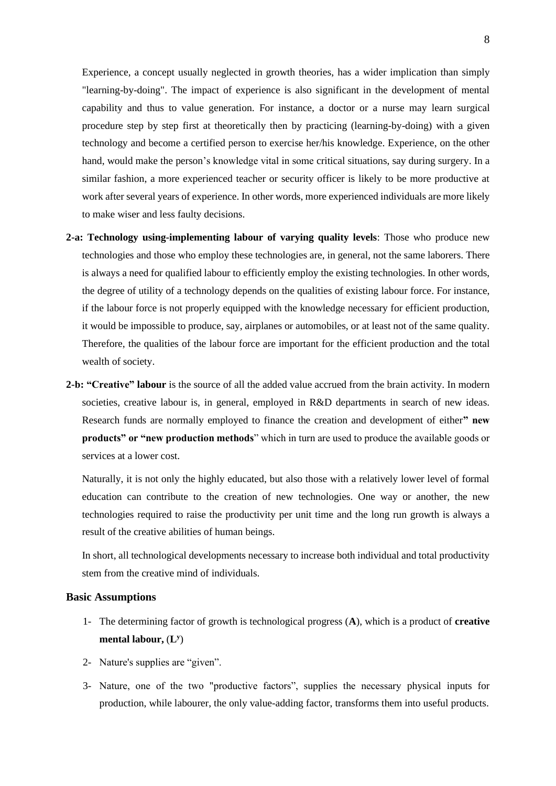Experience, a concept usually neglected in growth theories, has a wider implication than simply "learning-by-doing". The impact of experience is also significant in the development of mental capability and thus to value generation. For instance, a doctor or a nurse may learn surgical procedure step by step first at theoretically then by practicing (learning-by-doing) with a given technology and become a certified person to exercise her/his knowledge. Experience, on the other hand, would make the person's knowledge vital in some critical situations, say during surgery. In a similar fashion, a more experienced teacher or security officer is likely to be more productive at work after several years of experience. In other words, more experienced individuals are more likely to make wiser and less faulty decisions.

- **2-a: Technology using-implementing labour of varying quality levels**: Those who produce new technologies and those who employ these technologies are, in general, not the same laborers. There is always a need for qualified labour to efficiently employ the existing technologies. In other words, the degree of utility of a technology depends on the qualities of existing labour force. For instance, if the labour force is not properly equipped with the knowledge necessary for efficient production, it would be impossible to produce, say, airplanes or automobiles, or at least not of the same quality. Therefore, the qualities of the labour force are important for the efficient production and the total wealth of society.
- **2-b: "Creative" labour** is the source of all the added value accrued from the brain activity. In modern societies, creative labour is, in general, employed in R&D departments in search of new ideas. Research funds are normally employed to finance the creation and development of either**" new products" or "new production methods**" which in turn are used to produce the available goods or services at a lower cost.

Naturally, it is not only the highly educated, but also those with a relatively lower level of formal education can contribute to the creation of new technologies. One way or another, the new technologies required to raise the productivity per unit time and the long run growth is always a result of the creative abilities of human beings.

In short, all technological developments necessary to increase both individual and total productivity stem from the creative mind of individuals.

#### **Basic Assumptions**

- 1- The determining factor of growth is technological progress (**A**), which is a product of **creative mental labour,** (**L y** )
- 2- Nature's supplies are "given".
- 3- Nature, one of the two "productive factors", supplies the necessary physical inputs for production, while labourer, the only value-adding factor, transforms them into useful products.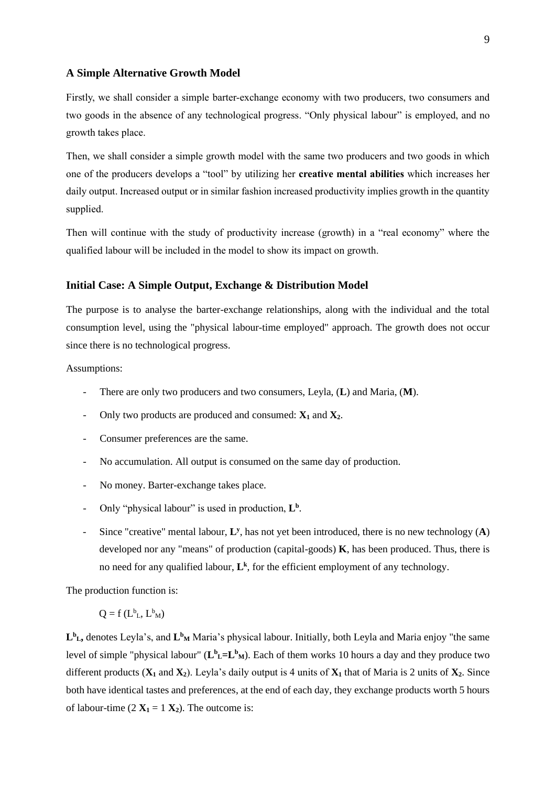#### **A Simple Alternative Growth Model**

Firstly, we shall consider a simple barter-exchange economy with two producers, two consumers and two goods in the absence of any technological progress. "Only physical labour" is employed, and no growth takes place.

Then, we shall consider a simple growth model with the same two producers and two goods in which one of the producers develops a "tool" by utilizing her **creative mental abilities** which increases her daily output. Increased output or in similar fashion increased productivity implies growth in the quantity supplied.

Then will continue with the study of productivity increase (growth) in a "real economy" where the qualified labour will be included in the model to show its impact on growth.

#### **Initial Case: A Simple Output, Exchange & Distribution Model**

The purpose is to analyse the barter-exchange relationships, along with the individual and the total consumption level, using the "physical labour-time employed" approach. The growth does not occur since there is no technological progress.

Assumptions:

- There are only two producers and two consumers, Leyla, (**L**) and Maria, (**M**).
- Only two products are produced and consumed: **X<sup>1</sup>** and **X2**.
- Consumer preferences are the same.
- No accumulation. All output is consumed on the same day of production.
- No money. Barter-exchange takes place.
- Only "physical labour" is used in production,  $L^b$ .
- Since "creative" mental labour, **L y** , has not yet been introduced, there is no new technology (**A**) developed nor any "means" of production (capital-goods) **K**, has been produced. Thus, there is no need for any qualified labour, **L k** , for the efficient employment of any technology.

The production function is:

$$
Q = f(L^b_L, L^b_M)
$$

L<sup>b</sup><sub>L</sub>, denotes Leyla's, and L<sup>b</sup><sub>M</sub> Maria's physical labour. Initially, both Leyla and Maria enjoy "the same level of simple "physical labour"  $(L^b L = L^b M)$ . Each of them works 10 hours a day and they produce two different products  $(X_1 \text{ and } X_2)$ . Leyla's daily output is 4 units of  $X_1$  that of Maria is 2 units of  $X_2$ . Since both have identical tastes and preferences, at the end of each day, they exchange products worth 5 hours of labour-time  $(2 \mathbf{X}_1 = 1 \mathbf{X}_2)$ . The outcome is: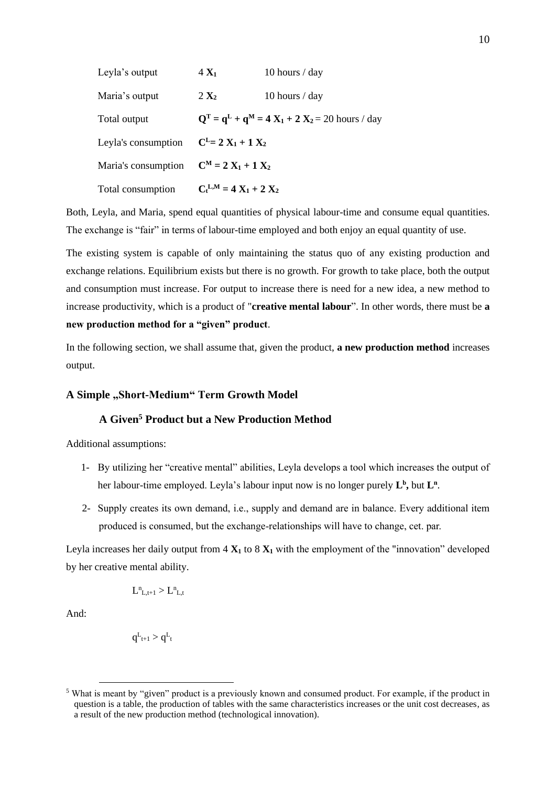| Leyla's output      | $4 X_1$                   | 10 hours $/$ day                                   |
|---------------------|---------------------------|----------------------------------------------------|
| Maria's output      | $2 X_2$                   | 10 hours $/$ day                                   |
| Total output        |                           | $Q^T = q^L + q^M = 4 X_1 + 2 X_2 = 20$ hours / day |
| Leyla's consumption | $C^{L} = 2 X_1 + 1 X_2$   |                                                    |
| Maria's consumption | $C^M = 2 X_1 + 1 X_2$     |                                                    |
| Total consumption   | $C_t^{L,M} = 4X_1 + 2X_2$ |                                                    |

Both, Leyla, and Maria, spend equal quantities of physical labour-time and consume equal quantities. The exchange is "fair" in terms of labour-time employed and both enjoy an equal quantity of use.

The existing system is capable of only maintaining the status quo of any existing production and exchange relations. Equilibrium exists but there is no growth. For growth to take place, both the output and consumption must increase. For output to increase there is need for a new idea, a new method to increase productivity, which is a product of "**creative mental labour**". In other words, there must be **a new production method for a "given" product**.

In the following section, we shall assume that, given the product, **a new production method** increases output.

## A Simple "Short-Medium" Term Growth Model

## **A Given<sup>5</sup> Product but a New Production Method**

Additional assumptions:

- 1- By utilizing her "creative mental" abilities, Leyla develops a tool which increases the output of her labour-time employed. Leyla's labour input now is no longer purely  $L^b$ , but  $L^a$ .
- 2- Supply creates its own demand, i.e., supply and demand are in balance. Every additional item produced is consumed, but the exchange-relationships will have to change, cet. par.

Leyla increases her daily output from  $4 \times 1$  to  $8 \times 1$  with the employment of the "innovation" developed by her creative mental ability.

$$
L^n_{\phantom{n}L,t+1} > L^n_{\phantom{n}L,t}
$$

And:

$$
q^L_{\hspace{0.05em}t+1}>q^L_{\hspace{0.05em}t}
$$

<sup>5</sup> What is meant by "given" product is a previously known and consumed product. For example, if the product in question is a table, the production of tables with the same characteristics increases or the unit cost decreases, as a result of the new production method (technological innovation).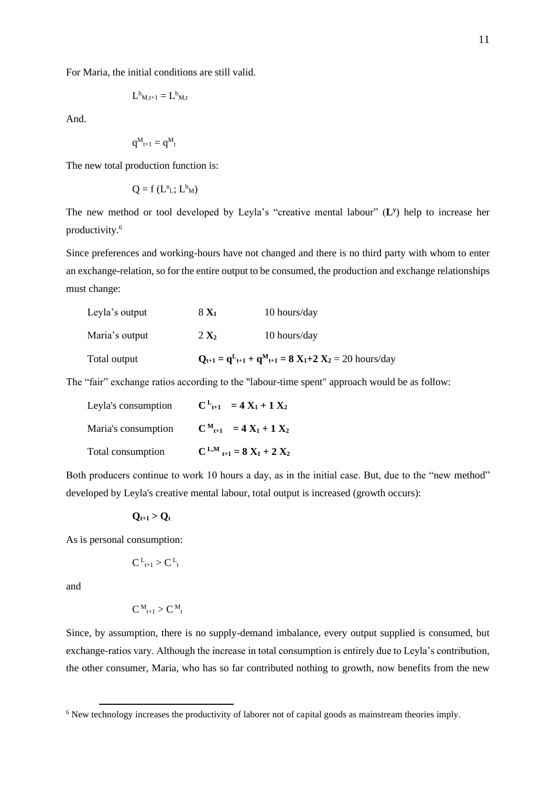For Maria, the initial conditions are still valid.

$$
L^b{}_{M,t\pm1}=L^b{}_{M,t}
$$

And.

$$
q^{\boldsymbol{M}}_{t+1} = q^{\boldsymbol{M}}_{\phantom{M}t}
$$

The new total production function is:

$$
Q = f(L^n_L; L^b_M)
$$

The new method or tool developed by Leyla's "creative mental labour" (**L y** ) help to increase her productivity.<sup>6</sup>

Since preferences and working-hours have not changed and there is no third party with whom to enter an exchange-relation, so for the entire output to be consumed, the production and exchange relationships must change:

| Total output   |                  | $Q_{t+1} = q_{t+1}^L + q_{t+1}^M = 8 X_1 + 2 X_2 = 20$ hours/day |
|----------------|------------------|------------------------------------------------------------------|
| Maria's output | 2 X <sub>2</sub> | 10 hours/day                                                     |
| Leyla's output | $8 X_1$          | 10 hours/day                                                     |

The "fair" exchange ratios according to the "labour-time spent" approach would be as follow:

| Leyla's consumption | $C^{L}{}_{t+1} = 4 X_1 + 1 X_2$              |
|---------------------|----------------------------------------------|
| Maria's consumption | $C_{t+1}^{M} = 4X_1 + 1X_2$                  |
| Total consumption   | $C^{L,M}$ <sub>t+1</sub> = 8 $X_1$ + 2 $X_2$ |

Both producers continue to work 10 hours a day, as in the initial case. But, due to the "new method" developed by Leyla's creative mental labour, total output is increased (growth occurs):

## $Q_{t+1} > Q_t$

As is personal consumption:

$$
C^L_{t+1} > C^L_{\ t}
$$

and

$$
C^{\,M}_{\phantom{M}t+1} > C^{\,M}_{\phantom{M}t}
$$

Since, by assumption, there is no supply-demand imbalance, every output supplied is consumed, but exchange-ratios vary. Although the increase in total consumption is entirely due to Leyla's contribution, the other consumer, Maria, who has so far contributed nothing to growth, now benefits from the new

<sup>&</sup>lt;sup>6</sup> New technology increases the productivity of laborer not of capital goods as mainstream theories imply.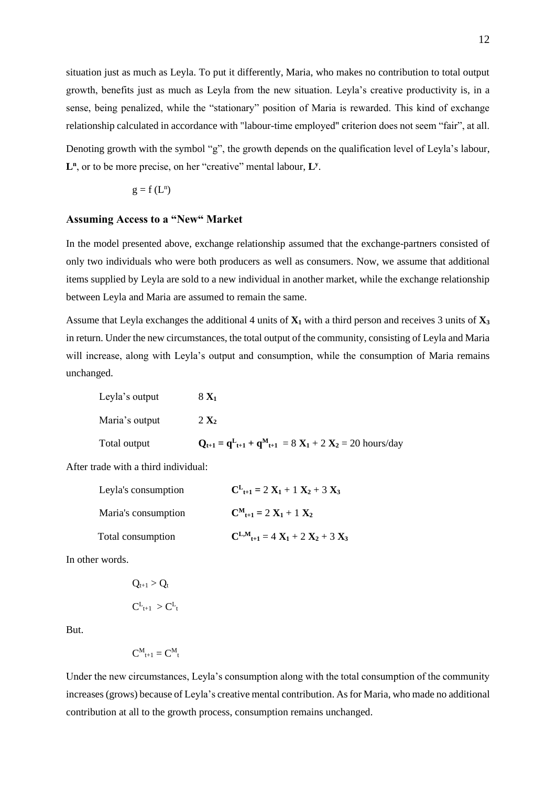situation just as much as Leyla. To put it differently, Maria, who makes no contribution to total output growth, benefits just as much as Leyla from the new situation. Leyla's creative productivity is, in a sense, being penalized, while the "stationary" position of Maria is rewarded. This kind of exchange relationship calculated in accordance with "labour-time employed" criterion does not seem "fair", at all.

Denoting growth with the symbol "g", the growth depends on the qualification level of Leyla's labour, L<sup>n</sup>, or to be more precise, on her "creative" mental labour, L<sup>y</sup>.

$$
g=f\left( L^{n}\right)
$$

## **Assuming Access to a "New" Market**

In the model presented above, exchange relationship assumed that the exchange-partners consisted of only two individuals who were both producers as well as consumers. Now, we assume that additional items supplied by Leyla are sold to a new individual in another market, while the exchange relationship between Leyla and Maria are assumed to remain the same.

Assume that Leyla exchanges the additional 4 units of **X<sup>1</sup>** with a third person and receives 3 units of **X<sup>3</sup>** in return. Under the new circumstances, the total output of the community, consisting of Leyla and Maria will increase, along with Leyla's output and consumption, while the consumption of Maria remains unchanged.

Leyla's output

\n
$$
8 \mathbf{X}_{1}
$$
\nMaria's output

\n
$$
2 \mathbf{X}_{2}
$$
\nTotal output

\n
$$
\mathbf{Q}_{t+1} = \mathbf{q}^{L}_{t+1} + \mathbf{q}^{M}_{t+1} = 8 \mathbf{X}_{1} + 2 \mathbf{X}_{2} = 20 \text{ hours/day}
$$

After trade with a third individual:

| Leyla's consumption | $C_{t+1}^L = 2 X_1 + 1 X_2 + 3 X_3$                    |
|---------------------|--------------------------------------------------------|
| Maria's consumption | $C_{t+1}^M = 2 X_1 + 1 X_2$                            |
| Total consumption   | $C^{L,M}$ <sub>t+1</sub> = 4 $X_1$ + 2 $X_2$ + 3 $X_3$ |

In other words.

$$
Q_{t+1} > Q_t
$$
  

$$
C^L_{t+1} > C^L_{t}
$$

But.

$$
C^M{}_{t+1}=C^M{}_{t}
$$

Under the new circumstances, Leyla's consumption along with the total consumption of the community increases (grows) because of Leyla's creative mental contribution. As for Maria, who made no additional contribution at all to the growth process, consumption remains unchanged.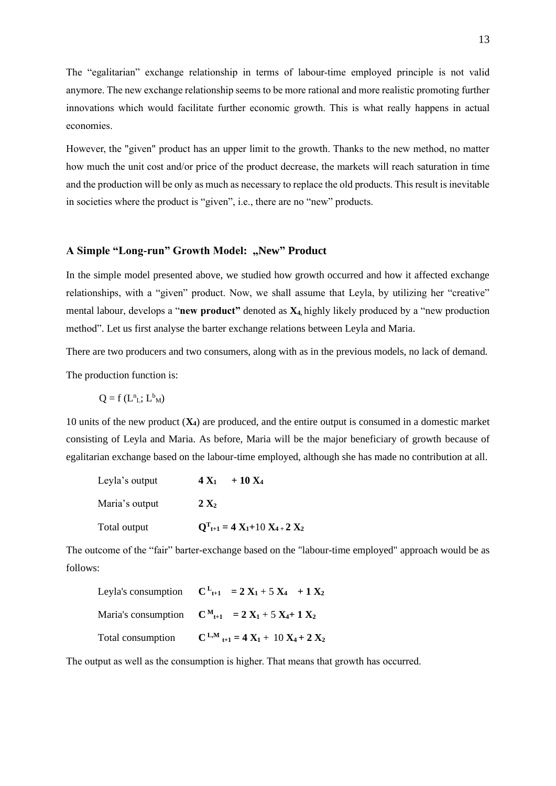The "egalitarian" exchange relationship in terms of labour-time employed principle is not valid anymore. The new exchange relationship seems to be more rational and more realistic promoting further innovations which would facilitate further economic growth. This is what really happens in actual economies.

However, the "given" product has an upper limit to the growth. Thanks to the new method, no matter how much the unit cost and/or price of the product decrease, the markets will reach saturation in time and the production will be only as much as necessary to replace the old products. This result is inevitable in societies where the product is "given", i.e., there are no "new" products.

#### A Simple "Long-run" Growth Model: "New" Product

In the simple model presented above, we studied how growth occurred and how it affected exchange relationships, with a "given" product. Now, we shall assume that Leyla, by utilizing her "creative" mental labour, develops a "**new product"** denoted as **X4,** highly likely produced by a "new production method". Let us first analyse the barter exchange relations between Leyla and Maria.

There are two producers and two consumers, along with as in the previous models, no lack of demand.

The production function is:

$$
Q = f(L^n_L; L^b{}_M)
$$

10 units of the new product (**X4**) are produced, and the entire output is consumed in a domestic market consisting of Leyla and Maria. As before, Maria will be the major beneficiary of growth because of egalitarian exchange based on the labour-time employed, although she has made no contribution at all.

| Leyla's output | $+10 X_4$<br>$4 X_1$                   |
|----------------|----------------------------------------|
| Maria's output | $2 X_2$                                |
| Total output   | $Q^{T_{t+1}} = 4 X_1 + 10 X_4 + 2 X_2$ |

The outcome of the "fair" barter-exchange based on the "labour-time employed" approach would be as follows:

|                   | Leyla's consumption $C_{t+1} = 2X_1 + 5X_4 + 1X_2$      |
|-------------------|---------------------------------------------------------|
|                   | Maria's consumption $C_{t+1}^M = 2X_1 + 5X_4 + 1X_2$    |
| Total consumption | $C^{L,M}$ <sub>t+1</sub> = 4 $X_1$ + 10 $X_4$ + 2 $X_2$ |

The output as well as the consumption is higher. That means that growth has occurred.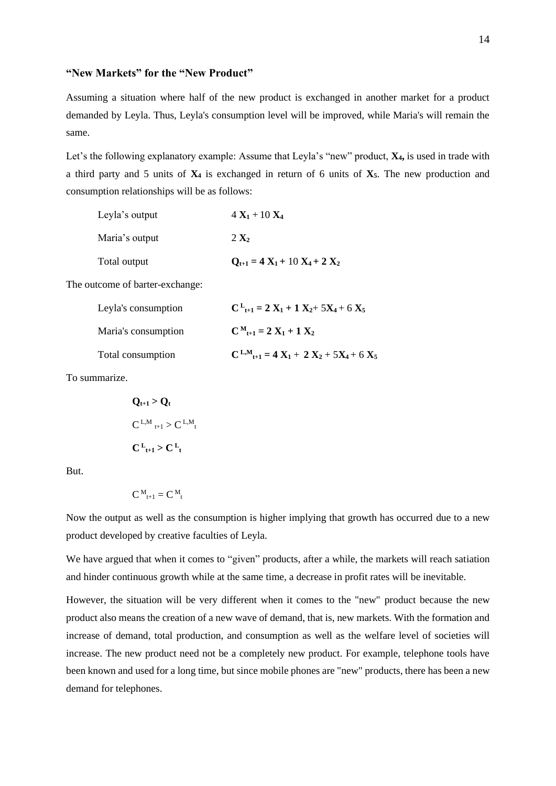## **"New Markets" for the "New Product"**

Assuming a situation where half of the new product is exchanged in another market for a product demanded by Leyla. Thus, Leyla's consumption level will be improved, while Maria's will remain the same.

Let's the following explanatory example: Assume that Leyla's "new" product, **X4,** is used in trade with a third party and 5 units of **X<sup>4</sup>** is exchanged in return of 6 units of **X5**. The new production and consumption relationships will be as follows:

| Leyla's output | $4 X_1 + 10 X_4$                   |
|----------------|------------------------------------|
| Maria's output | 2 X <sub>2</sub>                   |
| Total output   | $Q_{t+1} = 4 X_1 + 10 X_4 + 2 X_2$ |

The outcome of barter-exchange:

| Leyla's consumption | $C_{t+1}^L = 2 X_1 + 1 X_2 + 5X_4 + 6 X_5$                       |
|---------------------|------------------------------------------------------------------|
| Maria's consumption | $C^{M}{}_{t+1} = 2 X_1 + 1 X_2$                                  |
| Total consumption   | $C^{L,M}$ <sub>t+1</sub> = 4 $X_1$ + 2 $X_2$ + 5 $X_4$ + 6 $X_5$ |

To summarize.

$$
Q_{t+1} > Q_t
$$
  
\n
$$
C^{L,M}_{t+1} > C^{L,M}_{t}
$$
  
\n
$$
C^{L}_{t+1} > C^{L}_{t}
$$

But.

$$
C^{\;M}_{\;\;t+1}=C^{\;M}_{\;\;t}
$$

Now the output as well as the consumption is higher implying that growth has occurred due to a new product developed by creative faculties of Leyla.

We have argued that when it comes to "given" products, after a while, the markets will reach satiation and hinder continuous growth while at the same time, a decrease in profit rates will be inevitable.

However, the situation will be very different when it comes to the "new" product because the new product also means the creation of a new wave of demand, that is, new markets. With the formation and increase of demand, total production, and consumption as well as the welfare level of societies will increase. The new product need not be a completely new product. For example, telephone tools have been known and used for a long time, but since mobile phones are "new" products, there has been a new demand for telephones.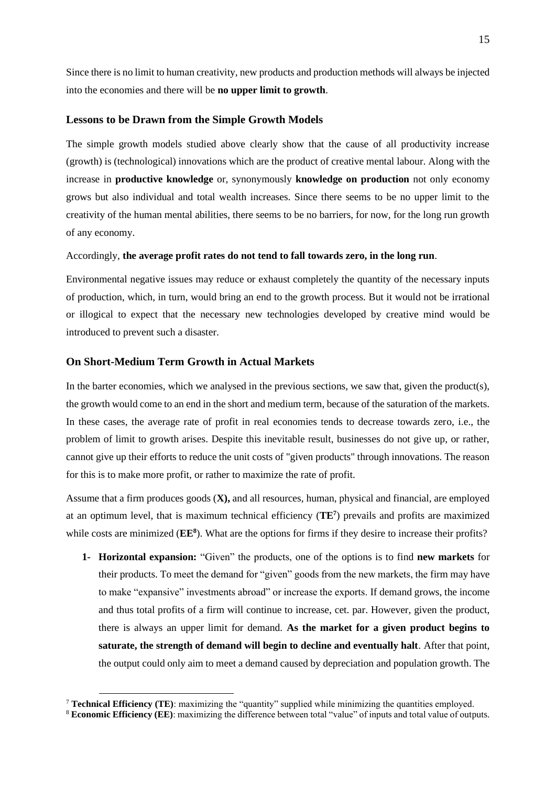Since there is no limit to human creativity, new products and production methods will always be injected into the economies and there will be **no upper limit to growth**.

#### **Lessons to be Drawn from the Simple Growth Models**

The simple growth models studied above clearly show that the cause of all productivity increase (growth) is (technological) innovations which are the product of creative mental labour. Along with the increase in **productive knowledge** or, synonymously **knowledge on production** not only economy grows but also individual and total wealth increases. Since there seems to be no upper limit to the creativity of the human mental abilities, there seems to be no barriers, for now, for the long run growth of any economy.

#### Accordingly, **the average profit rates do not tend to fall towards zero, in the long run**.

Environmental negative issues may reduce or exhaust completely the quantity of the necessary inputs of production, which, in turn, would bring an end to the growth process. But it would not be irrational or illogical to expect that the necessary new technologies developed by creative mind would be introduced to prevent such a disaster.

#### **On Short-Medium Term Growth in Actual Markets**

In the barter economies, which we analysed in the previous sections, we saw that, given the product(s), the growth would come to an end in the short and medium term, because of the saturation of the markets. In these cases, the average rate of profit in real economies tends to decrease towards zero, i.e., the problem of limit to growth arises. Despite this inevitable result, businesses do not give up, or rather, cannot give up their efforts to reduce the unit costs of "given products" through innovations. The reason for this is to make more profit, or rather to maximize the rate of profit.

Assume that a firm produces goods (**X),** and all resources, human, physical and financial, are employed at an optimum level, that is maximum technical efficiency (**TE<sup>7</sup>** ) prevails and profits are maximized while costs are minimized (**EE<sup>8</sup>** ). What are the options for firms if they desire to increase their profits?

**1- Horizontal expansion:** "Given" the products, one of the options is to find **new markets** for their products. To meet the demand for "given" goods from the new markets, the firm may have to make "expansive" investments abroad" or increase the exports. If demand grows, the income and thus total profits of a firm will continue to increase, cet. par. However, given the product, there is always an upper limit for demand. **As the market for a given product begins to saturate, the strength of demand will begin to decline and eventually halt**. After that point, the output could only aim to meet a demand caused by depreciation and population growth. The

<sup>7</sup> **Technical Efficiency (TE)**: maximizing the "quantity" supplied while minimizing the quantities employed.

<sup>8</sup> **Economic Efficiency (EE)**: maximizing the difference between total "value" of inputs and total value of outputs.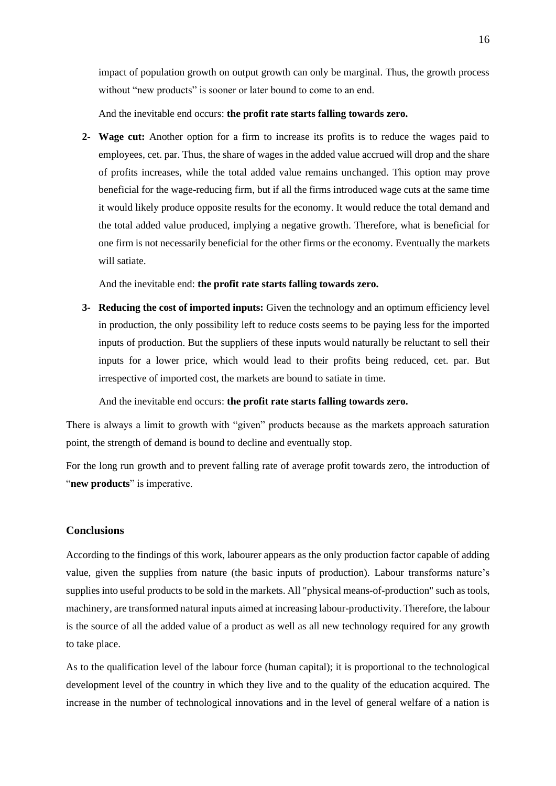impact of population growth on output growth can only be marginal. Thus, the growth process without "new products" is sooner or later bound to come to an end.

And the inevitable end occurs: **the profit rate starts falling towards zero.** 

**2- Wage cut:** Another option for a firm to increase its profits is to reduce the wages paid to employees, cet. par. Thus, the share of wages in the added value accrued will drop and the share of profits increases, while the total added value remains unchanged. This option may prove beneficial for the wage-reducing firm, but if all the firms introduced wage cuts at the same time it would likely produce opposite results for the economy. It would reduce the total demand and the total added value produced, implying a negative growth. Therefore, what is beneficial for one firm is not necessarily beneficial for the other firms or the economy. Eventually the markets will satiate.

And the inevitable end: **the profit rate starts falling towards zero.** 

**3- Reducing the cost of imported inputs:** Given the technology and an optimum efficiency level in production, the only possibility left to reduce costs seems to be paying less for the imported inputs of production. But the suppliers of these inputs would naturally be reluctant to sell their inputs for a lower price, which would lead to their profits being reduced, cet. par. But irrespective of imported cost, the markets are bound to satiate in time.

And the inevitable end occurs: **the profit rate starts falling towards zero.** 

There is always a limit to growth with "given" products because as the markets approach saturation point, the strength of demand is bound to decline and eventually stop.

For the long run growth and to prevent falling rate of average profit towards zero, the introduction of "**new products**" is imperative.

#### **Conclusions**

According to the findings of this work, labourer appears as the only production factor capable of adding value, given the supplies from nature (the basic inputs of production). Labour transforms nature's supplies into useful products to be sold in the markets. All "physical means-of-production" such as tools, machinery, are transformed natural inputs aimed at increasing labour-productivity. Therefore, the labour is the source of all the added value of a product as well as all new technology required for any growth to take place.

As to the qualification level of the labour force (human capital); it is proportional to the technological development level of the country in which they live and to the quality of the education acquired. The increase in the number of technological innovations and in the level of general welfare of a nation is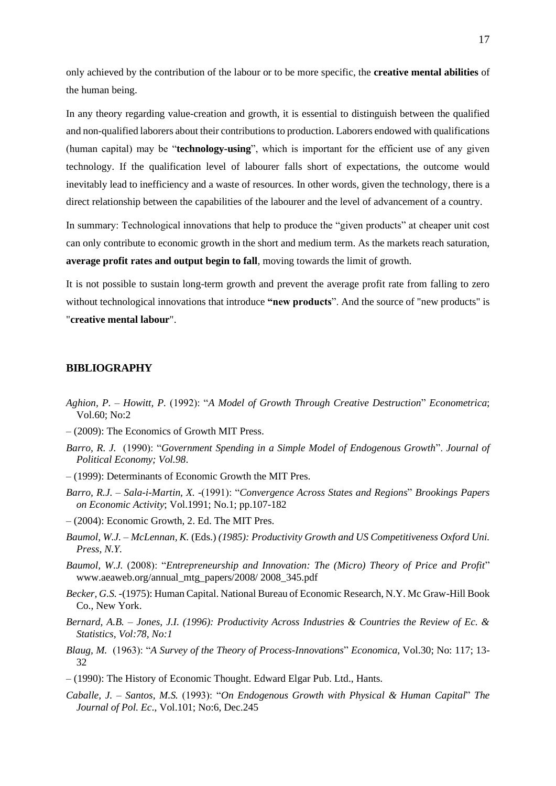only achieved by the contribution of the labour or to be more specific, the **creative mental abilities** of the human being.

In any theory regarding value-creation and growth, it is essential to distinguish between the qualified and non-qualified laborers about their contributions to production. Laborers endowed with qualifications (human capital) may be "**technology-using**", which is important for the efficient use of any given technology. If the qualification level of labourer falls short of expectations, the outcome would inevitably lead to inefficiency and a waste of resources. In other words, given the technology, there is a direct relationship between the capabilities of the labourer and the level of advancement of a country.

In summary: Technological innovations that help to produce the "given products" at cheaper unit cost can only contribute to economic growth in the short and medium term. As the markets reach saturation, **average profit rates and output begin to fall**, moving towards the limit of growth.

It is not possible to sustain long-term growth and prevent the average profit rate from falling to zero without technological innovations that introduce **"new products**". And the source of "new products" is "**creative mental labour**".

#### **BIBLIOGRAPHY**

- *Aghion, P. – Howitt, P.* (1992): "*A Model of Growth Through Creative Destruction*" *Econometrica*; Vol.60; No:2
- (2009): The Economics of Growth MIT Press.
- *Barro, R. J.* (1990): "*Government Spending in a Simple Model of Endogenous Growth*". *Journal of Political Economy; Vol.98*.
- (1999): Determinants of Economic Growth the MIT Pres.
- *Barro, R.J. – Sala-i-Martin, X.* -(1991): "*Convergence Across States and Regions*" *Brookings Papers on Economic Activity*; Vol.1991; No.1; pp.107-182
- (2004): Economic Growth, 2. Ed. The MIT Pres.
- *Baumol, W.J. – McLennan, K.* (Eds.) *(1985): Productivity Growth and US Competitiveness Oxford Uni. Press, N.Y.*
- *Baumol, W.J.* (2008): "*Entrepreneurship and Innovation: The (Micro) Theory of Price and Profit*" www.aeaweb.org/annual\_mtg\_papers/2008/ 2008\_345.pdf
- *Becker, G.S. -*(1975): Human Capital. National Bureau of Economic Research, N.Y. Mc Graw-Hill Book Co., New York.
- *Bernard, A.B. – Jones, J.I. (1996): Productivity Across Industries & Countries the Review of Ec. & Statistics, Vol:78, No:1*
- *Blaug, M.* (1963): "*A Survey of the Theory of Process-Innovations*" *Economica*, Vol.30; No: 117; 13- 32
- (1990): The History of Economic Thought. Edward Elgar Pub. Ltd., Hants.
- *Caballe, J. – Santos, M.S.* (1993): "*On Endogenous Growth with Physical & Human Capital*" *The Journal of Pol. Ec*., Vol.101; No:6, Dec.245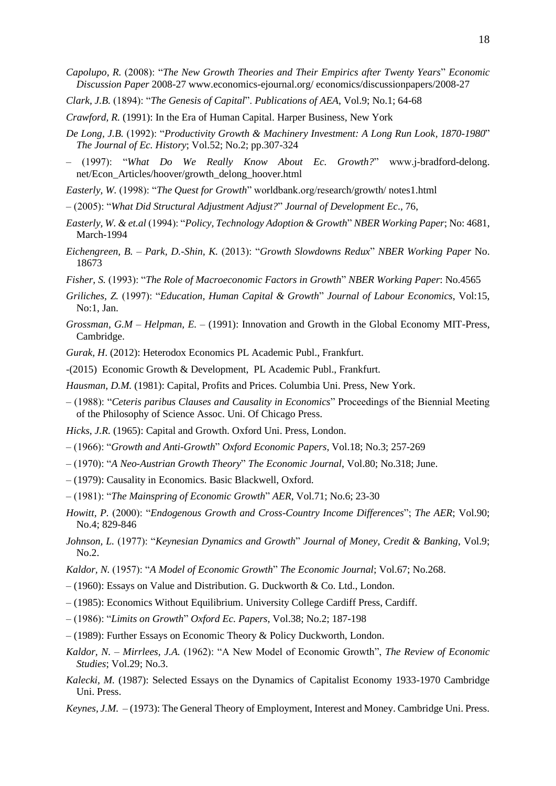- *Capolupo, R.* (2008): "*The New Growth Theories and Their Empirics after Twenty Years*" *Economic Discussion Paper* 2008-27 www.economics-ejournal.org/ economics/discussionpapers/2008-27
- *Clark, J.B.* (1894): "*The Genesis of Capital*". *Publications of AEA*, Vol.9; No.1; 64-68
- *Crawford, R.* (1991): In the Era of Human Capital. Harper Business, New York
- *De Long, J.B.* (1992): "*Productivity Growth & Machinery Investment: A Long Run Look, 1870-1980*" *The Journal of Ec. History*; Vol.52; No.2; pp.307-324
- (1997): "*What Do We Really Know About Ec. Growth?*" www.j-bradford-delong. net/Econ\_Articles/hoover/growth\_delong\_hoover.html
- *Easterly, W.* (1998): "*The Quest for Growth*" worldbank.org/research/growth/ notes1.html
- (2005): "*What Did Structural Adjustment Adjust?*" *Journal of Development Ec*., 76,
- *Easterly, W. & et.al* (1994): "*Policy, Technology Adoption & Growth*" *NBER Working Paper*; No: 4681, March-1994
- *Eichengreen, B. – Park, D.-Shin, K.* (2013): "*Growth Slowdowns Redux*" *NBER Working Paper* No. 18673
- *Fisher, S.* (1993): "*The Role of Macroeconomic Factors in Growth*" *NBER Working Paper*: No.4565
- *Griliches, Z.* (1997): "*Education, Human Capital & Growth*" *Journal of Labour Economics*, Vol:15, No:1, Jan.
- *Grossman, G.M – Helpman, E.*  (1991): Innovation and Growth in the Global Economy MIT-Press, Cambridge.
- *Gurak, H*. (2012): Heterodox Economics PL Academic Publ., Frankfurt.
- -(2015) Economic Growth & Development, PL Academic Publ., Frankfurt.
- *Hausman, D.M.* (1981): Capital, Profits and Prices. Columbia Uni. Press, New York.
- (1988): "*Ceteris paribus Clauses and Causality in Economics*" Proceedings of the Biennial Meeting of the Philosophy of Science Assoc. Uni. Of Chicago Press.
- *Hicks, J.R.* (1965): Capital and Growth. Oxford Uni. Press, London.
- (1966): "*Growth and Anti-Growth*" *Oxford Economic Papers*, Vol.18; No.3; 257-269
- (1970): "*A Neo-Austrian Growth Theory*" *The Economic Journal*, Vol.80; No.318; June.
- (1979): Causality in Economics. Basic Blackwell, Oxford.
- (1981): "*The Mainspring of Economic Growth*" *AER*, Vol.71; No.6; 23-30
- *Howitt, P.* (2000): "*Endogenous Growth and Cross-Country Income Differences*"; *The AER*; Vol.90; No.4; 829-846
- *Johnson, L.* (1977): "*Keynesian Dynamics and Growth*" *Journal of Money, Credit & Banking*, Vol.9; No.2.
- *Kaldor, N.* (1957): "*A Model of Economic Growth*" *The Economic Journal*; Vol.67; No.268.
- (1960): Essays on Value and Distribution. G. Duckworth & Co. Ltd., London.
- (1985): Economics Without Equilibrium. University College Cardiff Press, Cardiff.
- (1986): "*Limits on Growth*" *Oxford Ec. Papers*, Vol.38; No.2; 187-198
- (1989): Further Essays on Economic Theory & Policy Duckworth, London.
- *Kaldor, N. – Mirrlees, J.A.* (1962): "A New Model of Economic Growth", *The Review of Economic Studies*; Vol.29; No.3.
- Kalecki, M. (1987): Selected Essays on the Dynamics of Capitalist Economy 1933-1970 Cambridge Uni. Press.
- *Keynes, J.M.*  (1973): The General Theory of Employment, Interest and Money. Cambridge Uni. Press.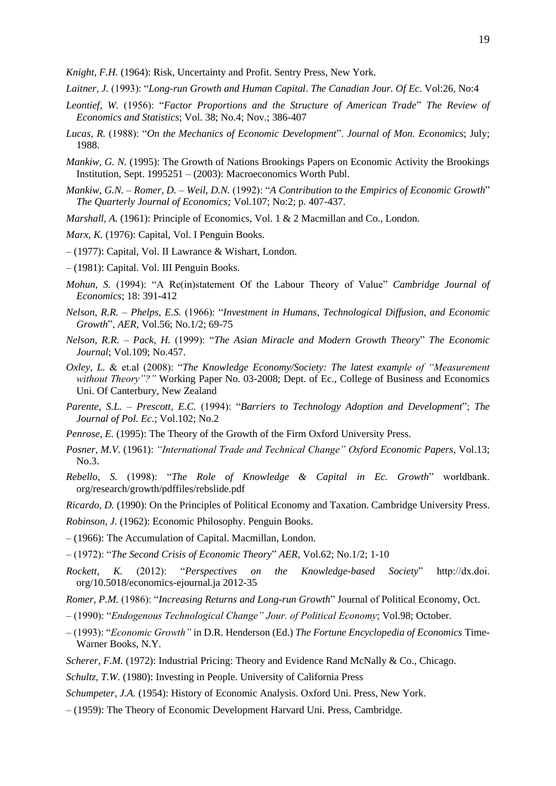*Knight, F.H.* (1964): Risk, Uncertainty and Profit. Sentry Press, New York.

- *Laitner, J.* (1993): "*Long-run Growth and Human Capital*. *The Canadian Jour. Of Ec*. Vol:26, No:4
- *Leontief, W.* (1956): "*Factor Proportions and the Structure of American Trade*" *The Review of Economics and Statistics*; Vol. 38; No.4; Nov.; 386-407
- *Lucas, R.* (1988): "*On the Mechanics of Economic Development*". *Journal of Mon. Economics*; July; 1988.
- *Mankiw, G. N.* (1995): The Growth of Nations Brookings Papers on Economic Activity the Brookings Institution, Sept. 1995251 – (2003): Macroeconomics Worth Publ.
- *Mankiw, G.N. – Romer, D. – Weil, D.N.* (1992): "*A Contribution to the Empirics of Economic Growth*" *The Quarterly Journal of Economics;* Vol.107; No:2; p. 407-437.
- *Marshall, A.* (1961): Principle of Economics, Vol. 1 & 2 Macmillan and Co., London.
- *Marx, K.* (1976): Capital, Vol. I Penguin Books.
- (1977): Capital, Vol. II Lawrance & Wishart, London.
- (1981): Capital. Vol. III Penguin Books.
- *Mohun, S.* (1994): "A Re(in)statement Of the Labour Theory of Value" *Cambridge Journal of Economics*; 18: 391-412
- *Nelson, R.R. – Phelps, E.S.* (1966): "*Investment in Humans, Technological Diffusion, and Economic Growth*", *AER*, Vol.56; No.1/2; 69-75
- *Nelson, R.R. – Pack, H.* (1999): "*The Asian Miracle and Modern Growth Theory*" *The Economic Journal*; Vol.109; No.457.
- *Oxley, L.* & et.al (2008): "*The Knowledge Economy/Society: The latest example of "Measurement without Theory"?"* Working Paper No. 03-2008; Dept. of Ec., College of Business and Economics Uni. Of Canterbury, New Zealand
- *Parente, S.L. – Prescott, E.C.* (1994): "*Barriers to Technology Adoption and Development*"; *The Journal of Pol. Ec*.; Vol.102; No.2
- *Penrose, E.* (1995): The Theory of the Growth of the Firm Oxford University Press.
- *Posner, M.V.* (1961): *"International Trade and Technical Change" Oxford Economic Papers,* Vol.13; No.3.
- *Rebello, S.* (1998): "*The Role of Knowledge & Capital in Ec. Growth*" worldbank. org/research/growth/pdffiles/rebslide.pdf

*Ricardo, D.* (1990): On the Principles of Political Economy and Taxation. Cambridge University Press.

- *Robinson, J.* (1962): Economic Philosophy. Penguin Books.
- (1966): The Accumulation of Capital. Macmillan, London.
- (1972): "*The Second Crisis of Economic Theory*" *AER*, Vol.62; No.1/2; 1-10
- *Rockett, K.* (2012): "*Perspectives on the Knowledge-based Society*" http://dx.doi. org/10.5018/economics-ejournal.ja 2012-35
- *Romer, P.M.* (1986): "*Increasing Returns and Long-run Growth*" Journal of Political Economy, Oct.
- (1990): "*Endogenous Technological Change" Jour. of Political Economy*; Vol.98; October.
- (1993): "*Economic Growth"* in D.R. Henderson (Ed.) *The Fortune Encyclopedia of Economics* Time-Warner Books, N.Y.
- *Scherer, F.M.* (1972): Industrial Pricing: Theory and Evidence Rand McNally & Co., Chicago.

*Schultz, T.W.* (1980): Investing in People. University of California Press

*Schumpeter, J.A.* (1954): History of Economic Analysis. Oxford Uni. Press, New York.

– (1959): The Theory of Economic Development Harvard Uni. Press, Cambridge.